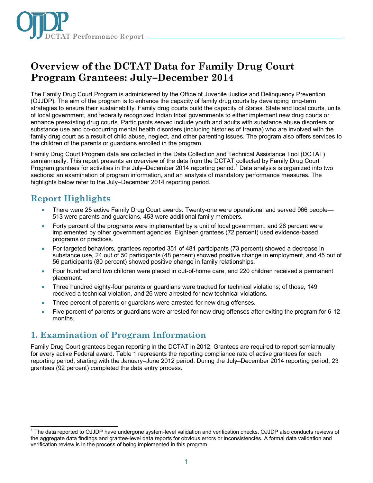

# **Overview of the DCTAT Data for Family Drug Court Program Grantees: July–December 2014**

The Family Drug Court Program is administered by the Office of Juvenile Justice and Delinquency Prevention (OJJDP). The aim of the program is to enhance the capacity of family drug courts by developing long-term strategies to ensure their sustainability. Family drug courts build the capacity of States, State and local courts, units of local government, and federally recognized Indian tribal governments to either implement new drug courts or enhance preexisting drug courts. Participants served include youth and adults with substance abuse disorders or substance use and co-occurring mental health disorders (including histories of trauma) who are involved with the family drug court as a result of child abuse, neglect, and other parenting issues. The program also offers services to the children of the parents or guardians enrolled in the program.

Family Drug Court Program data are collected in the Data Collection and Technical Assistance Tool (DCTAT) semiannually. This report presents an overview of the data from the DCTAT collected by Family Drug Court Program grantees for activities in the July–December 20[1](#page-0-0)4 reporting period.<sup>1</sup> Data analysis is organized into two sections: an examination of program information, and an analysis of mandatory performance measures. The highlights below refer to the July–December 2014 reporting period.

### **Report Highlights**

- There were 25 active Family Drug Court awards. Twenty-one were operational and served 966 people— 513 were parents and guardians, 453 were additional family members.
- Forty percent of the programs were implemented by a unit of local government, and 28 percent were implemented by other government agencies. Eighteen grantees (72 percent) used evidence-based programs or practices.
- For targeted behaviors, grantees reported 351 of 481 participants (73 percent) showed a decrease in substance use, 24 out of 50 participants (48 percent) showed positive change in employment, and 45 out of 56 participants (80 percent) showed positive change in family relationships.
- Four hundred and two children were placed in out-of-home care, and 220 children received a permanent placement.
- Three hundred eighty-four parents or guardians were tracked for technical violations; of those, 149 received a technical violation, and 26 were arrested for new technical violations.
- Three percent of parents or guardians were arrested for new drug offenses.
- Five percent of parents or quardians were arrested for new drug offenses after exiting the program for 6-12 months.

## **1. Examination of Program Information**

Family Drug Court grantees began reporting in the DCTAT in 2012. Grantees are required to report semiannually for every active Federal award. Table 1 represents the reporting compliance rate of active grantees for each reporting period, starting with the January–June 2012 period. During the July–December 2014 reporting period, 23 grantees (92 percent) completed the data entry process.

<span id="page-0-0"></span> $\overline{\phantom{a}}$ <sup>1</sup> The data reported to OJJDP have undergone system-level validation and verification checks. OJJDP also conducts reviews of the aggregate data findings and grantee-level data reports for obvious errors or inconsistencies. A formal data validation and verification review is in the process of being implemented in this program.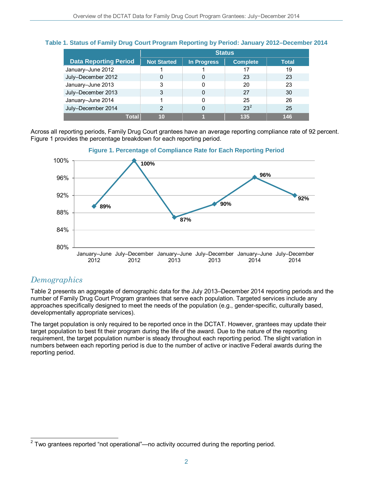|                              | <b>Status</b>      |             |                 |              |
|------------------------------|--------------------|-------------|-----------------|--------------|
| <b>Data Reporting Period</b> | <b>Not Started</b> | In Progress | <b>Complete</b> | <b>Total</b> |
| January-June 2012            |                    |             | 17              | 19           |
| July-December 2012           | 0                  | 0           | 23              | 23           |
| January-June 2013            | 3                  | 0           | 20              | 23           |
| July-December 2013           | 3                  | 0           | 27              | 30           |
| January-June 2014            |                    | 0           | 25              | 26           |
| July-December 2014           | $\overline{2}$     | 0           | $23^2$          | 25           |
| Total                        | 10                 |             | 135             | 146          |

### **Table 1. Status of Family Drug Court Program Reporting by Period: January 2012–December 2014**

Across all reporting periods, Family Drug Court grantees have an average reporting compliance rate of 92 percent. Figure 1 provides the percentage breakdown for each reporting period.



### **Figure 1. Percentage of Compliance Rate for Each Reporting Period**

### *Demographics*

Table 2 presents an aggregate of demographic data for the July 2013–December 2014 reporting periods and the number of Family Drug Court Program grantees that serve each population. Targeted services include any approaches specifically designed to meet the needs of the population (e.g., gender-specific, culturally based, developmentally appropriate services).

The target population is only required to be reported once in the DCTAT. However, grantees may update their target population to best fit their program during the life of the award. Due to the nature of the reporting requirement, the target population number is steady throughout each reporting period. The slight variation in numbers between each reporting period is due to the number of active or inactive Federal awards during the reporting period.

<span id="page-1-0"></span> $\overline{a}$  $2$  Two grantees reported "not operational"—no activity occurred during the reporting period.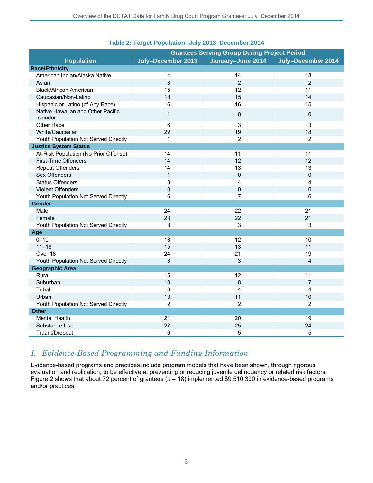|                                               | <b>Grantees Serving Group During Project Period</b>           |                         |                         |  |
|-----------------------------------------------|---------------------------------------------------------------|-------------------------|-------------------------|--|
| <b>Population</b>                             | July-December 2013<br>January-June 2014<br>July-December 2014 |                         |                         |  |
| <b>Race/Ethnicity</b>                         |                                                               |                         |                         |  |
| American Indian/Alaska Native                 | 14                                                            | 14                      | 13                      |  |
| Asian                                         | 3                                                             | $\overline{2}$          | $\overline{2}$          |  |
| Black/African American                        | 15                                                            | 12                      | 11                      |  |
| Caucasian/Non-Latino                          | 18                                                            | 15                      | 14                      |  |
| Hispanic or Latino (of Any Race)              | 16                                                            | 16                      | 15                      |  |
| Native Hawaiian and Other Pacific<br>Islander | $\mathbf{1}$                                                  | $\Omega$                | 0                       |  |
| Other Race                                    | 6                                                             | $\mathbf{3}$            | $\mathbf{3}$            |  |
| White/Caucasian                               | 22                                                            | 19                      | 18                      |  |
| Youth Population Not Served Directly          | 1                                                             | $\overline{2}$          | $\overline{2}$          |  |
| <b>Justice System Status</b>                  |                                                               |                         |                         |  |
| At-Risk Population (No Prior Offense)         | 14                                                            | 11                      | 11                      |  |
| First-Time Offenders                          | 14                                                            | 12                      | 12                      |  |
| <b>Repeat Offenders</b>                       | 14                                                            | 13                      | 13                      |  |
| Sex Offenders                                 | $\mathbf{1}$                                                  | $\mathbf 0$             | $\mathsf 0$             |  |
| <b>Status Offenders</b>                       | 3                                                             | 4                       | 4                       |  |
| <b>Violent Offenders</b>                      | $\mathbf 0$                                                   | $\mathbf 0$             | 0                       |  |
| Youth Population Not Served Directly          | 6                                                             | $\overline{7}$          | 6                       |  |
| Gender                                        |                                                               |                         |                         |  |
| Male                                          | 24                                                            | 22                      | 21                      |  |
| Female                                        | 23                                                            | 22                      | 21                      |  |
| Youth Population Not Served Directly          | 3                                                             | 3                       | 3                       |  |
| Age                                           |                                                               |                         |                         |  |
| $0 - 10$                                      | 13                                                            | 12                      | 10                      |  |
| $11 - 18$                                     | 15                                                            | 13                      | 11                      |  |
| Over 18                                       | 24                                                            | 21                      | 19                      |  |
| Youth Population Not Served Directly          | 3                                                             | 3                       | $\overline{\mathbf{4}}$ |  |
| <b>Geographic Area</b>                        |                                                               |                         |                         |  |
| Rural                                         | 15                                                            | 12                      | 11                      |  |
| Suburban                                      | 10                                                            | 8                       | $\overline{7}$          |  |
| Tribal                                        | 3                                                             | $\overline{\mathbf{4}}$ | 4                       |  |
| Urban                                         | 13                                                            | 11                      | 10                      |  |
| Youth Population Not Served Directly          | $\overline{2}$                                                | $\overline{2}$          | $\overline{2}$          |  |
| <b>Other</b>                                  |                                                               |                         |                         |  |
| <b>Mental Health</b>                          | 21                                                            | 20                      | 19                      |  |
| Substance Use                                 | 27                                                            | 25                      | 24                      |  |
| Truant/Dropout                                | 6                                                             | 5                       | 5                       |  |

### **Table 2: Target Population: July 2013–December 2014**

### *I. Evidence-Based Programming and Funding Information*

Evidence-based programs and practices include program models that have been shown, through rigorous evaluation and replication, to be effective at preventing or reducing juvenile delinquency or related risk factors. Figure 2 shows that about 72 percent of grantees (*n* = 18) implemented \$9,510,390 in evidence-based programs and/or practices.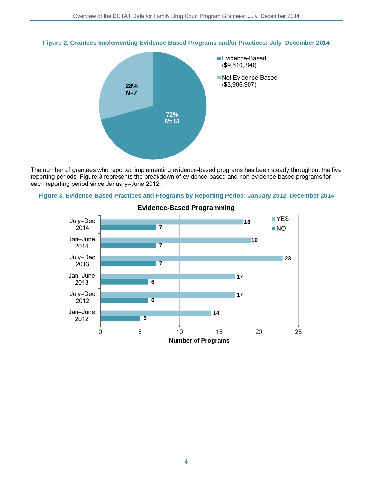

### **Figure 2. Grantees Implementing Evidence-Based Programs and/or Practices: July–December 2014**

The number of grantees who reported implementing evidence-based programs has been steady throughout the five reporting periods. Figure 3 represents the breakdown of evidence-based and non-evidence-based programs for each reporting period since January–June 2012.





**Evidence-Based Programming**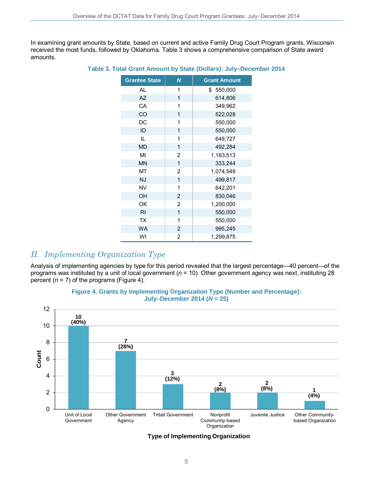In examining grant amounts by State, based on current and active Family Drug Court Program grants, Wisconsin received the most funds, followed by Oklahoma. Table 3 shows a comprehensive comparison of State award amounts.

| <b>Grantee State</b> | N              | <b>Grant Amount</b> |
|----------------------|----------------|---------------------|
| AL                   | 1              | \$ 550,000          |
| <b>AZ</b>            | 1              | 614,806             |
| CA                   | 1              | 349,962             |
| CO                   | 1              | 522,028             |
| DC                   | 1              | 550,000             |
| ID                   | 1              | 550,000             |
| IL.                  | 1              | 649,727             |
| <b>MD</b>            | 1              | 492,284             |
| MI                   | 2              | 1,163,513           |
| <b>MN</b>            | 1              | 333,244             |
| MT                   | 2              | 1,074,549           |
| <b>NJ</b>            | 1              | 499,817             |
| <b>NV</b>            | 1              | 642,201             |
| OH                   | $\overline{2}$ | 830,046             |
| OK                   | 2              | 1,200,000           |
| R <sub>l</sub>       | $\overline{1}$ | 550,000             |
| <b>TX</b>            | 1              | 550,000             |
| <b>WA</b>            | 2              | 995,245             |
| WI                   | 2              | 1,299,875           |

#### **Table 3. Total Grant Amount by State (Dollars): July–December 2014**

### *II. Implementing Organization Type*

Analysis of implementing agencies by type for this period revealed that the largest percentage—40 percent—of the programs was instituted by a unit of local government (*n* = 10). Other government agency was next, instituting 28 percent  $(n = 7)$  of the programs (Figure 4).



#### **Figure 4. Grants by Implementing Organization Type (Number and Percentage): July–December 2014 (***N* **= 25)**

**Type of Implementing Organization**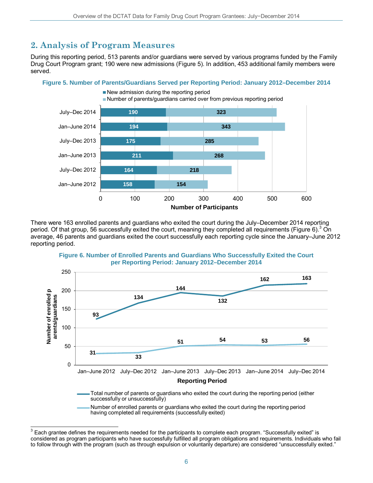## **2. Analysis of Program Measures**

During this reporting period, 513 parents and/or guardians were served by various programs funded by the Family Drug Court Program grant; 190 were new admissions (Figure 5). In addition, 453 additional family members were served.

### **Figure 5. Number of Parents/Guardians Served per Reporting Period: January 2012–December 2014**



There were 163 enrolled parents and guardians who exited the court during the July–December 2014 reporting period. Of that group, 56 successfully exited the court, meaning they completed all requirements (Figure 6).<sup>[3](#page-5-0)</sup> On average, 46 parents and guardians exited the court successfully each reporting cycle since the January–June 2012 reporting period.





<span id="page-5-0"></span> $\frac{3}{3}$  Each grantee defines the requirements needed for the participants to complete each program. "Successfully exited" is considered as program participants who have successfully fulfilled all program obligations and requirements. Individuals who fail to follow through with the program (such as through expulsion or voluntarily departure) are considered "unsuccessfully exited."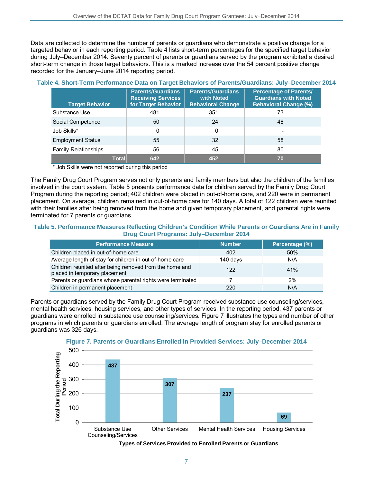Data are collected to determine the number of parents or guardians who demonstrate a positive change for a targeted behavior in each reporting period. Table 4 lists short-term percentages for the specified target behavior during July–December 2014. Seventy percent of parents or guardians served by the program exhibited a desired short-term change in those target behaviors. This is a marked increase over the 54 percent positive change recorded for the January–June 2014 reporting period.

| <b>Target Behavior</b>      | <b>Parents/Guardians</b><br><b>Receiving Services</b><br>for Target Behavior | <b>Parents/Guardians</b><br>with Noted<br><b>Behavioral Change</b> | <b>Percentage of Parents/</b><br><b>Guardians with Noted</b><br><b>Behavioral Change (%)</b> |
|-----------------------------|------------------------------------------------------------------------------|--------------------------------------------------------------------|----------------------------------------------------------------------------------------------|
| Substance Use               | 481                                                                          | 351                                                                | 73                                                                                           |
| Social Competence           | 50                                                                           | 24                                                                 | 48                                                                                           |
| Job Skills*                 | 0                                                                            | 0                                                                  | $\overline{\phantom{0}}$                                                                     |
| <b>Employment Status</b>    | 55                                                                           | 32                                                                 | 58                                                                                           |
| <b>Family Relationships</b> | 56                                                                           | 45                                                                 | 80                                                                                           |
| Total                       | 642                                                                          | 452                                                                | 70                                                                                           |

#### **Table 4. Short-Term Performance Data on Target Behaviors of Parents/Guardians: July–December 2014**

\* Job Skills were not reported during this period

The Family Drug Court Program serves not only parents and family members but also the children of the families involved in the court system. Table 5 presents performance data for children served by the Family Drug Court Program during the reporting period; 402 children were placed in out-of-home care, and 220 were in permanent placement. On average, children remained in out-of-home care for 140 days. A total of 122 children were reunited with their families after being removed from the home and given temporary placement, and parental rights were terminated for 7 parents or guardians.

#### **Table 5. Performance Measures Reflecting Children's Condition While Parents or Guardians Are in Family Drug Court Programs: July–December 2014**

| <b>Performance Measure</b>                                                               | <b>Number</b> | Percentage (%) |
|------------------------------------------------------------------------------------------|---------------|----------------|
| Children placed in out-of-home care                                                      | 402           | 50%            |
| Average length of stay for children in out-of-home care                                  | 140 days      | N/A            |
| Children reunited after being removed from the home and<br>placed in temporary placement | 122           | 41%            |
| Parents or guardians whose parental rights were terminated                               |               | 2%             |
| Children in permanent placement                                                          | 220           | N/A            |

Parents or guardians served by the Family Drug Court Program received substance use counseling/services, mental health services, housing services, and other types of services. In the reporting period, 437 parents or guardians were enrolled in substance use counseling/services. Figure 7 illustrates the types and number of other programs in which parents or guardians enrolled. The average length of program stay for enrolled parents or guardians was 326 days.



### **Figure 7. Parents or Guardians Enrolled in Provided Services: July–December 2014**

**Types of Services Provided to Enrolled Parents or Guardians**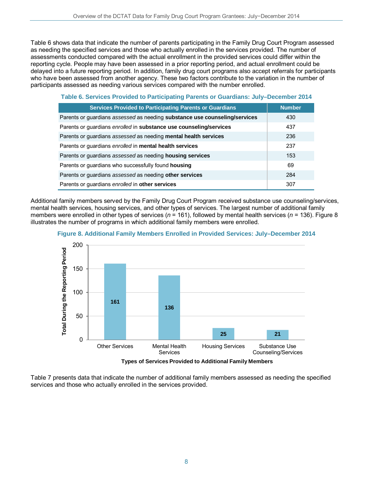Table 6 shows data that indicate the number of parents participating in the Family Drug Court Program assessed as needing the specified services and those who actually enrolled in the services provided. The number of assessments conducted compared with the actual enrollment in the provided services could differ within the reporting cycle. People may have been assessed in a prior reporting period, and actual enrollment could be delayed into a future reporting period. In addition, family drug court programs also accept referrals for participants who have been assessed from another agency. These two factors contribute to the variation in the number of participants assessed as needing various services compared with the number enrolled.

| Table 6. Services Provided to Participating Parents or Guardians: July–December 2014 |  |  |  |
|--------------------------------------------------------------------------------------|--|--|--|
|                                                                                      |  |  |  |

| <b>Services Provided to Participating Parents or Guardians</b>             | <b>Number</b> |
|----------------------------------------------------------------------------|---------------|
| Parents or guardians assessed as needing substance use counseling/services | 430           |
| Parents or guardians enrolled in substance use counseling/services         | 437           |
| Parents or guardians assessed as needing mental health services            | 236           |
| Parents or guardians enrolled in mental health services                    | 237           |
| Parents or guardians assessed as needing housing services                  | 153           |
| Parents or guardians who successfully found housing                        | 69            |
| Parents or guardians assessed as needing other services                    | 284           |
| Parents or guardians enrolled in other services                            | 307           |

Additional family members served by the Family Drug Court Program received substance use counseling/services, mental health services, housing services, and other types of services. The largest number of additional family members were enrolled in other types of services ( $n = 161$ ), followed by mental health services ( $n = 136$ ). Figure 8 illustrates the number of programs in which additional family members were enrolled.



**Figure 8. Additional Family Members Enrolled in Provided Services: July–December 2014**

**Types of Services Provided to Additional Family Members** 

Table 7 presents data that indicate the number of additional family members assessed as needing the specified services and those who actually enrolled in the services provided.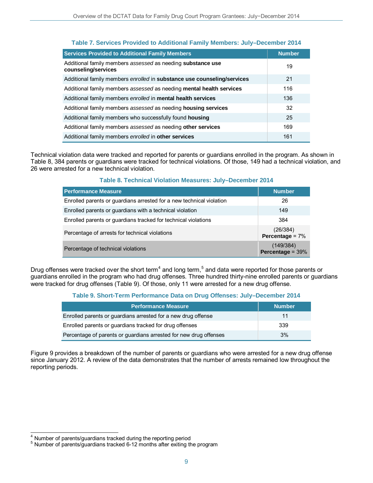| <b>Services Provided to Additional Family Members</b>                              | <b>Number</b> |
|------------------------------------------------------------------------------------|---------------|
| Additional family members assessed as needing substance use<br>counseling/services | 19            |
| Additional family members enrolled in substance use counseling/services            | 21            |
| Additional family members assessed as needing mental health services               | 116           |
| Additional family members enrolled in mental health services                       | 136           |
| Additional family members assessed as needing housing services                     | 32            |
| Additional family members who successfully found housing                           | 25            |
| Additional family members assessed as needing other services                       | 169           |
| Additional family members enrolled in other services                               | 161           |

### **Table 7. Services Provided to Additional Family Members: July–December 2014**

Technical violation data were tracked and reported for parents or guardians enrolled in the program. As shown in Table 8, 384 parents or guardians were tracked for technical violations. Of those, 149 had a technical violation, and 26 were arrested for a new technical violation.

### **Table 8. Technical Violation Measures: July–December 2014**

| <b>Performance Measure</b>                                           | <b>Number</b>                 |
|----------------------------------------------------------------------|-------------------------------|
| Enrolled parents or guardians arrested for a new technical violation | 26                            |
| Enrolled parents or guardians with a technical violation             | 149                           |
| Enrolled parents or guardians tracked for technical violations       | 384                           |
| Percentage of arrests for technical violations                       | (26/384)<br>Percentage = $7%$ |
| Percentage of technical violations                                   | (149/384)<br>Percentage = 39% |

Drug offenses were tracked over the short term<sup>[4](#page-8-0)</sup> and long term,<sup>[5](#page-8-1)</sup> and data were reported for those parents or guardians enrolled in the program who had drug offenses. Three hundred thirty-nine enrolled parents or guardians were tracked for drug offenses (Table 9). Of those, only 11 were arrested for a new drug offense.

### **Table 9. Short-Term Performance Data on Drug Offenses: July–December 2014**

| <b>Performance Measure</b>                                        | <b>Number</b> |
|-------------------------------------------------------------------|---------------|
| Enrolled parents or guardians arrested for a new drug offense     | 11            |
| Enrolled parents or guardians tracked for drug offenses           | 339           |
| Percentage of parents or guardians arrested for new drug offenses | 3%            |

Figure 9 provides a breakdown of the number of parents or guardians who were arrested for a new drug offense since January 2012. A review of the data demonstrates that the number of arrests remained low throughout the reporting periods.

 $\overline{\phantom{a}}$ 

<span id="page-8-1"></span><span id="page-8-0"></span><sup>&</sup>lt;sup>4</sup> Number of parents/guardians tracked during the reporting period  $5$  Number of parents/guardians tracked 6-12 months after exiting the program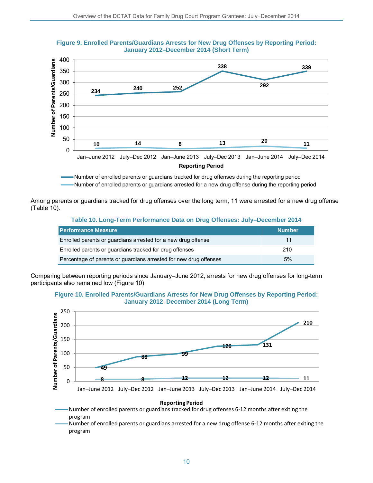

200 250





Number of enrolled parents or guardians tracked for drug offenses during the reporting period Number of enrolled parents or guardians arrested for a new drug offense during the reporting period

Among parents or guardians tracked for drug offenses over the long term, 11 were arrested for a new drug offense (Table 10).

#### **Table 10. Long-Term Performance Data on Drug Offenses: July–December 2014**

| <b>Performance Measure</b>                                        | <b>Number</b> |
|-------------------------------------------------------------------|---------------|
| Enrolled parents or guardians arrested for a new drug offense     |               |
| Enrolled parents or guardians tracked for drug offenses           | 210           |
| Percentage of parents or guardians arrested for new drug offenses | 5%            |

Comparing between reporting periods since January–June 2012, arrests for new drug offenses for long-term participants also remained low (Figure 10).





Number of enrolled parents or guardians tracked for drug offenses 6-12 months after exiting the program

Number of enrolled parents or guardians arrested for a new drug offense 6-12 months after exiting the program